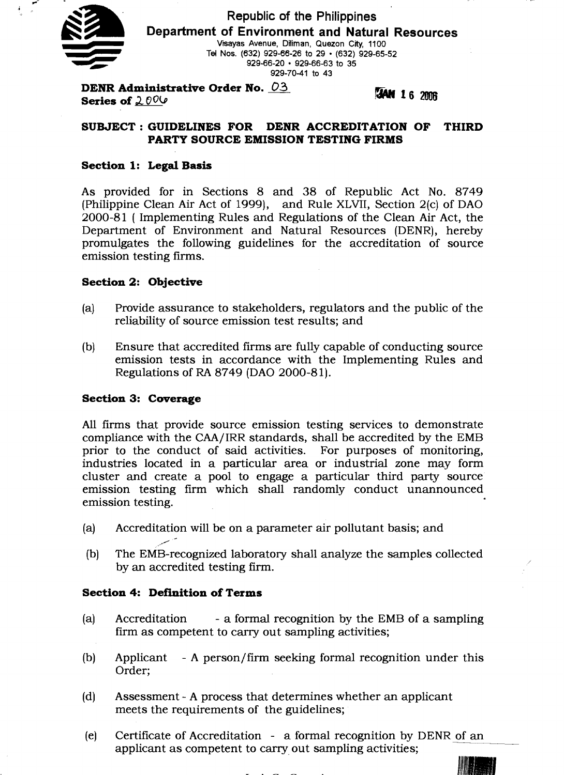

**r** 

**I** 

**Republic of the Philippines Department of Environment and Natural Resources Vtsayas Avenue, Diiman, Quezon** Crty, **1100**  Tel Nos. (632) 929-66-26 to 29 · (632) 929-65-52 **929-66-20 929-66-63 to 35 929-70-41 to 43** 

**DENR Administrative Order No. 03 Series of**  $2.006$ 

**JAN 16 2006** 

## **SUBJECT** :**GUIDELINES FOR DENR ACCREDITATION OF THIRD PARTY SOURCE EMISSION TESTING FIRMS**

## **Section 1: Legal Basis**

As provided for in Sections 8 and 38 of Republic Act No. 8749 (Philippine Clean Air Act of 1999), and Rule XLVII, Section  $2(c)$  of DAO 2000-81 ( Implementing Rules and Regulations of the Clean Air Act, the Department of Environment and Natural Resources (DENR), hereby promulgates the following guidelines for the accreditation of source emission testing firms.

## **Section 2: Objective**

- (a) Provide assurance to stakeholders, regulators and the public of the reliability of source emission test results; and
- (b) Ensure that accredited firms are fully capable of conducting source emission tests in accordance with the Implementing Rules and Regulations of **RA** 8749 (DAO 2000-81).

## **Section 3: Coverage**

All firms that provide source emission testing services to demonstrate compliance with the CAA/IRR standards, shall be accredited by the EMB prior to the conduct of said activities. For purposes of monitoring, industries located in a particular area or industrial zone may form cluster and create a pool to engage a particular third party source emission testing firm which shall randomly conduct unannounced emission testing.

- (a) Accreditation will be on a parameter air pollutant basis; and
- ./. (b) The EMB-recognized laboratory shall analyze the samples collected by an accredited testing firm.

## **Section 4: Definition of Terms**

- (a) Accreditation a formal recognition by the EMB of a sampling firm as competent to carry out sampling activities;
- (b) Applicant A person/firm seeking formal recognition under this Order;
- (d) Assessment A process that determines whether an applicant meets the requirements of the guidelines;
- (e) Certificate of Accreditation a formal recognition by DENR of an applicant as competent to carry out sampling activities;

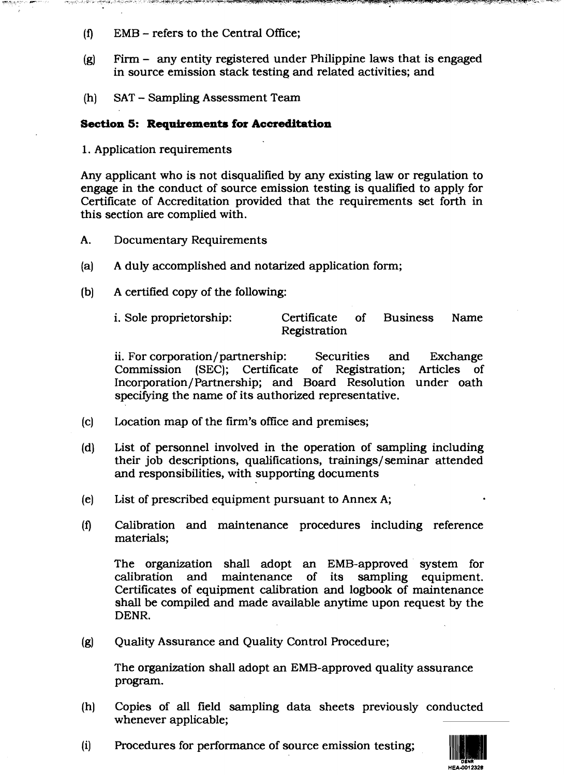**(f)** EMB - refers to the Central Office;

ARE A COMPARABLE DESCRIPTION DES COMPARATIONS DE L'ARCHER DE L'ARCHE DE L'ARCHE DE L'ARCHE DE L'ARCHE DE L'ARCHE DE L'ARCHE DE L'ARCHE DE L'ARCHE DE L'ARCHE DE L'ARCHE DE L'ARCHE DE L'ARCHE DE L'ARCHE DE L'ARCHE DE L'ARCHE

- (g) Firm any entity registered under Philippine laws that is engaged in source emission stack testing and related activities; and
- (h) SAT Sampling Assessment Team

## **Section 5: Requirements for Accreditation**

1. Application requirements

Any applicant who is not disqualified by any existing law or regulation to engage in the conduct of source emission testing is qualified to apply for Certificate of Accreditation provided that the requirements set forth in this section are complied with.

- **A.** Documentary Requirements
- (a) A duly accomplished and notarized application form;
- (b) A certified copy of the following:

i. Sole proprietorship: Certificate of Business Name Registration

ii. For corporation/ partnership: Securities and Exchange Commission (SEC); Certificate of Registration; Articles of Incorporation/Partnership; and Board Resolution under oath specifying the name of its authorized representative.

- (c) Location map of the firm's office and premises;
- (d) List of personnel involved in the operation of sampling including their job descriptions, qualifications, trainings/ seminar attended and responsibilities, with supporting documents
- (e) List of prescribed equipment pursuant to Annex A;
- **(f)** Calibration and maintenance procedures including reference materials;

The organization shall adopt an EMB-approved system for calibration and maintenance of its sampling equipment. calibration and maintenance of its sampling equipment. Certificates of equipment calibration and logbook of maintenance shall be compiled and made available anytime upon request by the DENR.

(g) Quality Assurance and Quality Control Procedure;

The organization shall adopt an EMB-approved quality assurance program.

- (h) Copies of all field sampling data sheets previously conducted whenever applicable;
- (i) Procedures for performance of source emission testing;

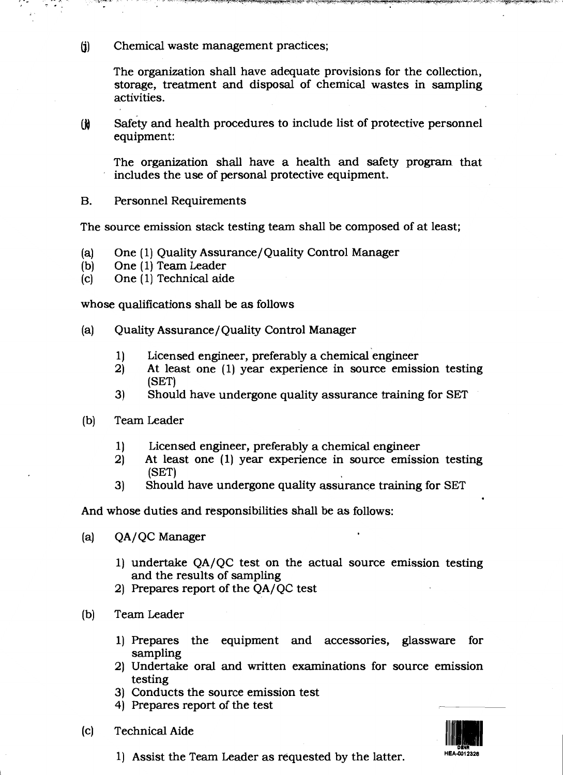$(i)$ Chemical waste management practices;

> The organization shall have adequate provisions for the collection, storage, treatment and disposal of chemical wastes in sampling activities.

Safety and health procedures to include list of protective personnel  $\omega$ equipment:

The organization shall have a health and safety program that includes the use of personal protective equipment.

**B. Personnel Requirements** 

The source emission stack testing team shall be composed of at least;

- $(a)$ One (1) Quality Assurance/Quality Control Manager
- One (1) Team Leader  $(b)$
- One (1) Technical aide  $(c)$

whose qualifications shall be as follows

- Quality Assurance/Quality Control Manager  $(a)$ 
	- Licensed engineer, preferably a chemical engineer  $1)$
	- At least one (1) year experience in source emission testing  $2)$ (SET)
	- Should have undergone quality assurance training for SET  $3)$
- Team Leader  $(b)$ 
	- Licensed engineer, preferably a chemical engineer  $1)$
	- $2)$ At least one (1) year experience in source emission testing  $(SET)$
	- Should have undergone quality assurance training for SET  $3)$

And whose duties and responsibilities shall be as follows:

- QA/QC Manager  $(a)$ 
	- 1) undertake QA/QC test on the actual source emission testing and the results of sampling
	- 2) Prepares report of the QA/QC test
- $(b)$ Team Leader
	- 1) Prepares the equipment and accessories, glassware for sampling
	- 2) Undertake oral and written examinations for source emission testing
	- 3) Conducts the source emission test
	- 4) Prepares report of the test
- **Technical Aide**  $(c)$



1) Assist the Team Leader as requested by the latter.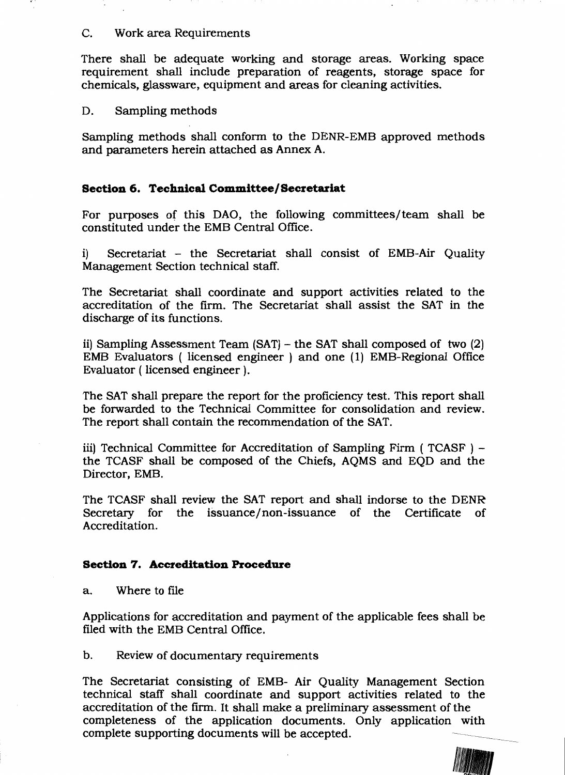## C. Work area Requirements

There shall be adequate working and storage areas. Working space requirement shall include preparation of reagents, storage space for chemicals, glassware, equipment and areas for cleaning activities.

#### Sampling methods D.

Sampling methods shall conform to the DENR-EMB approved methods and parameters herein attached as Annex A.

## Section 6. Technical Committee/Secretariat

For purposes of this DAO, the following committees/team shall be constituted under the EMB Central Office.

Secretariat - the Secretariat shall consist of EMB-Air Quality  $\bf i)$ Management Section technical staff.

The Secretariat shall coordinate and support activities related to the accreditation of the firm. The Secretariat shall assist the SAT in the discharge of its functions.

ii) Sampling Assessment Team (SAT) - the SAT shall composed of two (2) EMB Evaluators (licensed engineer) and one (1) EMB-Regional Office Evaluator (licensed engineer).

The SAT shall prepare the report for the proficiency test. This report shall be forwarded to the Technical Committee for consolidation and review. The report shall contain the recommendation of the SAT.

iii) Technical Committee for Accreditation of Sampling Firm (TCASF) the TCASF shall be composed of the Chiefs, AQMS and EQD and the Director, EMB.

The TCASF shall review the SAT report and shall indorse to the DENR Secretary for the issuance/non-issuance of the Certificate of Accreditation.

## **Section 7. Accreditation Procedure**

Where to file a.

Applications for accreditation and payment of the applicable fees shall be filed with the EMB Central Office.

 $\mathbf b$ . Review of documentary requirements

The Secretariat consisting of EMB- Air Quality Management Section technical staff shall coordinate and support activities related to the accreditation of the firm. It shall make a preliminary assessment of the completeness of the application documents. Only application with complete supporting documents will be accepted.

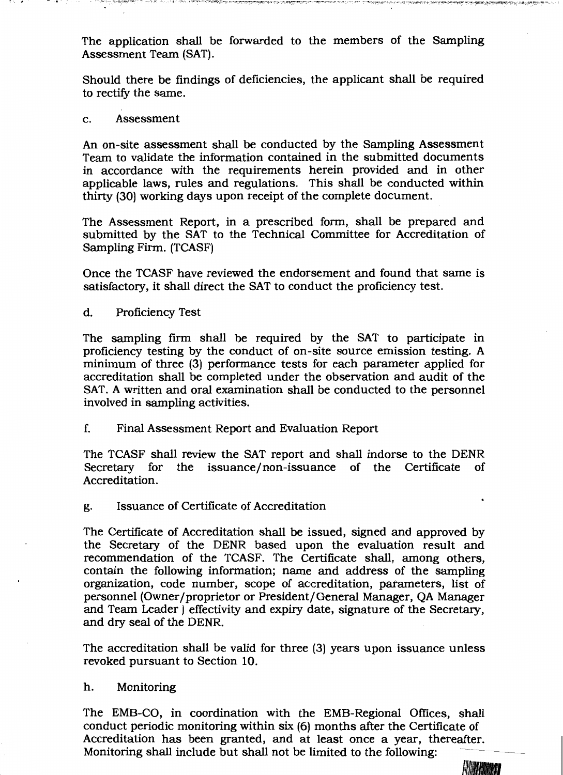The application shall be forwarded to the members of the Sampling Assessment Team (SAT).

 $\mathcal{P}^{\mathcal{A}}$  ,  $\mathcal{P}^{\mathcal{A}}$  ,  $\mathcal{P}^{\mathcal{A}}$  ,  $\mathcal{P}^{\mathcal{A}}$  ,  $\mathcal{P}^{\mathcal{A}}$  ,  $\mathcal{P}^{\mathcal{A}}$  ,  $\mathcal{P}^{\mathcal{A}}$  ,  $\mathcal{P}^{\mathcal{A}}$  ,  $\mathcal{P}^{\mathcal{A}}$  ,  $\mathcal{P}^{\mathcal{A}}$  ,  $\mathcal{P}^{\mathcal{A}}$  ,  $\mathcal{P}^{\mathcal{A}}$  ,  $\mathcal{$ 

Should there be findings of deficiencies, the applicant shall be required to rectify the same.

#### Assessment  $\mathbf{c}$ .

An on-site assessment shall be conducted by the Sampling Assessment Team to validate the information contained in the submitted documents in accordance with the requirements herein provided and in other applicable laws, rules and regulations. This shall be conducted within thirty (30) working days upon receipt of the complete document.

The Assessment Report, in a prescribed form, shall be prepared and submitted by the SAT to the Technical Committee for Accreditation of Sampling Firm. (TCASF)

Once the TCASF have reviewed the endorsement and found that same is satisfactory, it shall direct the SAT to conduct the proficiency test.

d. **Proficiency Test** 

The sampling firm shall be required by the SAT to participate in proficiency testing by the conduct of on-site source emission testing. A minimum of three (3) performance tests for each parameter applied for accreditation shall be completed under the observation and audit of the SAT. A written and oral examination shall be conducted to the personnel involved in sampling activities.

f. Final Assessment Report and Evaluation Report

The TCASF shall review the SAT report and shall indorse to the DENR Secretary for the issuance/non-issuance of the Certificate **of** Accreditation.

Issuance of Certificate of Accreditation g.

The Certificate of Accreditation shall be issued, signed and approved by the Secretary of the DENR based upon the evaluation result and recommendation of the TCASF. The Certificate shall, among others, contain the following information; name and address of the sampling organization, code number, scope of accreditation, parameters, list of personnel (Owner/proprietor or President/General Manager, QA Manager and Team Leader) effectivity and expiry date, signature of the Secretary, and dry seal of the DENR.

The accreditation shall be valid for three (3) years upon issuance unless revoked pursuant to Section 10.

#### h. Monitoring

The EMB-CO, in coordination with the EMB-Regional Offices, shall conduct periodic monitoring within six (6) months after the Certificate of Accreditation has been granted, and at least once a year, thereafter. Monitoring shall include but shall not be limited to the following:

WATAMAT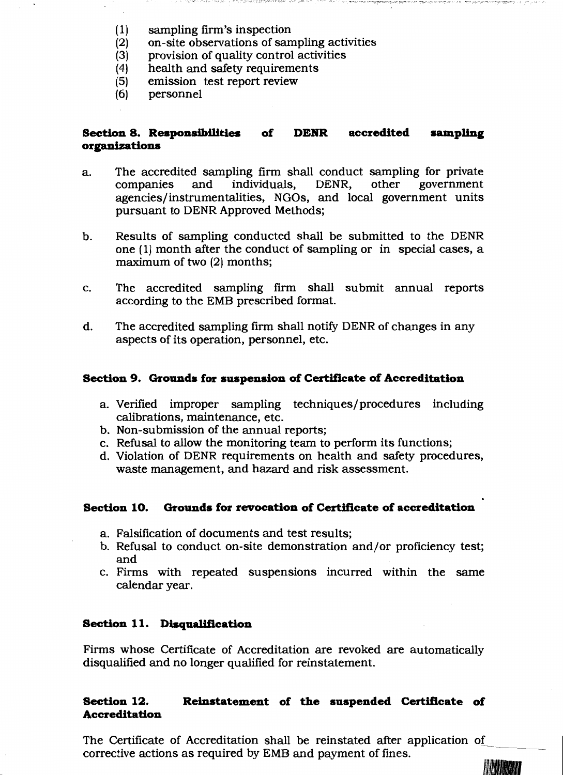- $(1)$ sampling firm's inspection
- on-site observations of sampling activities  $(2)$
- provision of quality control activities  $(3)$
- health and safety requirements  $(4)$
- $(5)$ emission test report review
- personnel  $(6)$

#### Section 8. Responsibilities **DENR**  $of$ accredited sampling organizations

TEST A ANTAL 1985 DELLI LALINI LIMBARI SESTEMBALI PER LIMBARAN DELLI LALINI LIMBARAN PER PERSONALI PER

- The accredited sampling firm shall conduct sampling for private a. companies and individuals, DENR, other government agencies/instrumentalities, NGOs, and local government units pursuant to DENR Approved Methods;
- Results of sampling conducted shall be submitted to the DENR b. one (1) month after the conduct of sampling or in special cases, a maximum of two (2) months;
- The accredited sampling firm shall submit annual reports c. according to the EMB prescribed format.
- d. The accredited sampling firm shall notify DENR of changes in any aspects of its operation, personnel, etc.

## Section 9. Grounds for suspension of Certificate of Accreditation

- a. Verified improper sampling techniques/procedures including calibrations, maintenance, etc.
- b. Non-submission of the annual reports;
- c. Refusal to allow the monitoring team to perform its functions;
- d. Violation of DENR requirements on health and safety procedures, waste management, and hazard and risk assessment.

#### **Section 10.** Grounds for revocation of Certificate of accreditation

- a. Falsification of documents and test results;
- b. Refusal to conduct on-site demonstration and/or proficiency test; and
- c. Firms with repeated suspensions incurred within the same calendar year.

## Section 11. Disqualification

Firms whose Certificate of Accreditation are revoked are automatically disqualified and no longer qualified for reinstatement.

#### Section 12. Reinstatement of the suspended Certificate of **Accreditation**

The Certificate of Accreditation shall be reinstated after application of corrective actions as required by EMB and payment of fines.

**Albuman**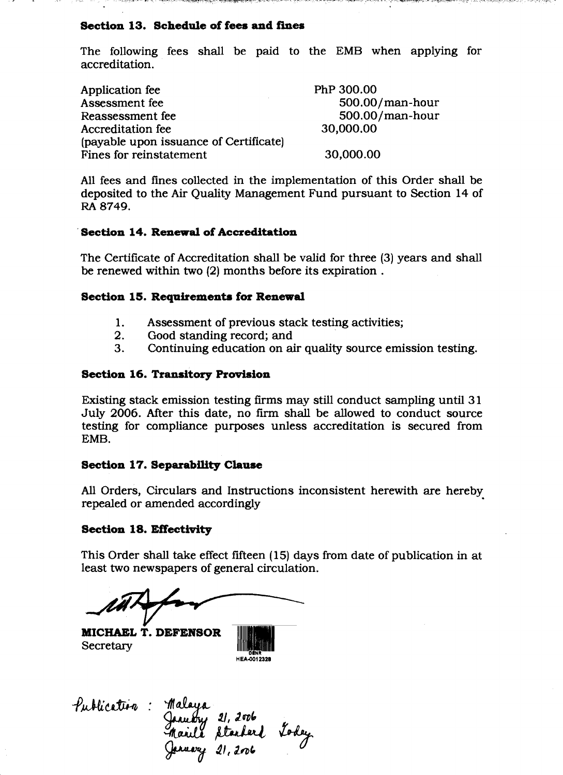## Section 13. Schedule of fees and fines

المستحدث المساحة المشاركة والمتحادث والمكافئة فاستشفت والمتكافئة المتحافظة كالمتحد

The following fees shall be paid to the EMB when applying for accreditation.

| Application fee                        | PhP 300.00      |
|----------------------------------------|-----------------|
| Assessment fee                         | 500.00/man-hour |
| Reassessment fee                       | 500.00/man-hour |
| Accreditation fee                      | 30,000.00       |
| (payable upon issuance of Certificate) |                 |
| <b>Fines for reinstatement</b>         | 30,000.00       |

All fees and fines collected in the implementation of this Order shall be deposited to the Air Quality Management Fund pursuant to Section 14 of RA 8749.

### **Section 14. Renewal of Accreditation**

The Certificate of Accreditation shall be valid for three (3) years and shall be renewed within two (2) months before its expiration.

### **Section 15. Requirements for Renewal**

- Assessment of previous stack testing activities; 1.
- $2.$ Good standing record; and
- 3. Continuing education on air quality source emission testing.

### **Section 16. Transitory Provision**

Existing stack emission testing firms may still conduct sampling until 31 July 2006. After this date, no firm shall be allowed to conduct source testing for compliance purposes unless accreditation is secured from EMB.

### **Section 17. Separability Clause**

All Orders, Circulars and Instructions inconsistent herewith are hereby repealed or amended accordingly

#### **Section 18. Effectivity**

This Order shall take effect fifteen (15) days from date of publication in at least two newspapers of general circulation.

MICHAEL T. DEFENSOR Secretary

Publication: January 21, 2006<br>Maille Standard Today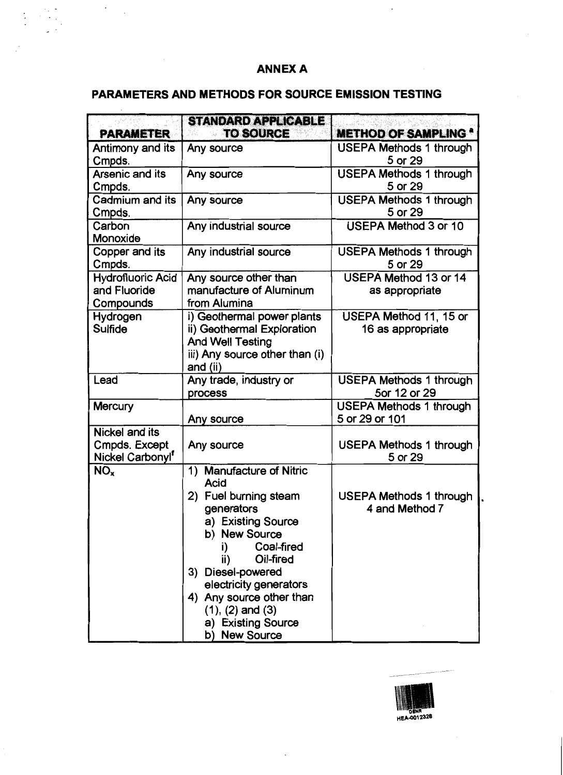# **ANNEX A**

# PARAMETERS AND METHODS FOR SOURCE EMISSION TESTING

 $\langle \cdot \rangle$ 

|                                                                        | <b>STANDARD APPLICABLE</b>                                                                                                                                                                                                                                                                              |                                                  |
|------------------------------------------------------------------------|---------------------------------------------------------------------------------------------------------------------------------------------------------------------------------------------------------------------------------------------------------------------------------------------------------|--------------------------------------------------|
| <b>PARAMETER</b>                                                       | <b>TO SOURCE</b>                                                                                                                                                                                                                                                                                        | <b>METHOD OF SAMPLING *</b>                      |
| Antimony and its<br>Cmpds.                                             | Any source                                                                                                                                                                                                                                                                                              | <b>USEPA Methods 1 through</b><br>5 or 29        |
| Arsenic and its<br>Cmpds.                                              | Any source                                                                                                                                                                                                                                                                                              | <b>USEPA Methods 1 through</b><br>5 or 29        |
| Cadmium and its<br>Cmpds.                                              | Any source                                                                                                                                                                                                                                                                                              | <b>USEPA Methods 1 through</b><br>5 or 29        |
| Carbon<br>Monoxide                                                     | Any industrial source                                                                                                                                                                                                                                                                                   | <b>USEPA Method 3 or 10</b>                      |
| Copper and its<br>Cmpds.                                               | Any industrial source                                                                                                                                                                                                                                                                                   | <b>USEPA Methods 1 through</b><br>5 or 29        |
| <b>Hydrofluoric Acid</b><br>and Fluoride<br>Compounds                  | Any source other than<br>manufacture of Aluminum<br>from Alumina                                                                                                                                                                                                                                        | <b>USEPA Method 13 or 14</b><br>as appropriate   |
| Hydrogen<br>Sulfide                                                    | i) Geothermal power plants<br>ii) Geothermal Exploration<br><b>And Well Testing</b><br>iii) Any source other than (i)<br>and (ii)                                                                                                                                                                       | USEPA Method 11, 15 or<br>16 as appropriate      |
| Lead                                                                   | Any trade, industry or<br>process                                                                                                                                                                                                                                                                       | <b>USEPA Methods 1 through</b><br>5or 12 or 29   |
| <b>Mercury</b>                                                         | Any source                                                                                                                                                                                                                                                                                              | <b>USEPA Methods 1 through</b><br>5 or 29 or 101 |
| <b>Nickel and its</b><br>Cmpds. Except<br>Nickel Carbonyl <sup>f</sup> | Any source                                                                                                                                                                                                                                                                                              | <b>USEPA Methods 1 through</b><br>5 or 29        |
| NO <sub>x</sub>                                                        | 1) Manufacture of Nitric<br><b>Acid</b><br>2) Fuel burning steam<br>generators<br>a) Existing Source<br>b) New Source<br>Coal-fired<br>i)<br>Oil-fired<br>ii)<br>3) Diesel-powered<br>electricity generators<br>4) Any source other than<br>$(1), (2)$ and $(3)$<br>a) Existing Source<br>b) New Source | <b>USEPA Methods 1 through</b><br>4 and Method 7 |